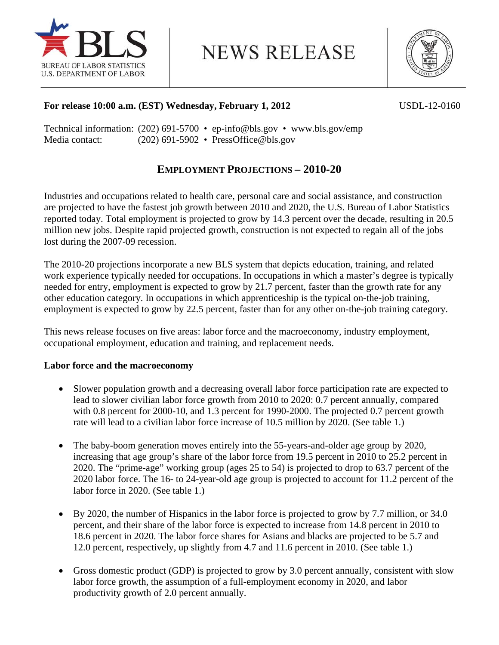

**NEWS RELEASE** 



### **For release 10:00 a.m. (EST) Wednesday, February 1, 2012** USDL-12-0160

Technical information: (202) 691-5700 • ep-info@bls.gov • www.bls.gov/emp Media contact: (202) 691-5902 • PressOffice@bls.gov

# **EMPLOYMENT PROJECTIONS – 2010-20**

Industries and occupations related to health care, personal care and social assistance, and construction are projected to have the fastest job growth between 2010 and 2020, the U.S. Bureau of Labor Statistics reported today. Total employment is projected to grow by 14.3 percent over the decade, resulting in 20.5 million new jobs. Despite rapid projected growth, construction is not expected to regain all of the jobs lost during the 2007‐09 recession.

The 2010-20 projections incorporate a new BLS system that depicts education, training, and related work experience typically needed for occupations. In occupations in which a master's degree is typically needed for entry, employment is expected to grow by 21.7 percent, faster than the growth rate for any other education category. In occupations in which apprenticeship is the typical on-the-job training, employment is expected to grow by 22.5 percent, faster than for any other on-the-job training category.

This news release focuses on five areas: labor force and the macroeconomy, industry employment, occupational employment, education and training, and replacement needs.

### **Labor force and the macroeconomy**

- Slower population growth and a decreasing overall labor force participation rate are expected to lead to slower civilian labor force growth from 2010 to 2020: 0.7 percent annually, compared with 0.8 percent for 2000-10, and 1.3 percent for 1990-2000. The projected 0.7 percent growth rate will lead to a civilian labor force increase of 10.5 million by 2020. (See table 1.)
- The baby-boom generation moves entirely into the 55-years-and-older age group by 2020, increasing that age group's share of the labor force from 19.5 percent in 2010 to 25.2 percent in 2020. The "prime-age" working group (ages 25 to 54) is projected to drop to 63.7 percent of the 2020 labor force. The 16- to 24-year-old age group is projected to account for 11.2 percent of the labor force in 2020. (See table 1.)
- By 2020, the number of Hispanics in the labor force is projected to grow by 7.7 million, or 34.0 percent, and their share of the labor force is expected to increase from 14.8 percent in 2010 to 18.6 percent in 2020. The labor force shares for Asians and blacks are projected to be 5.7 and 12.0 percent, respectively, up slightly from 4.7 and 11.6 percent in 2010. (See table 1.)
- Gross domestic product (GDP) is projected to grow by 3.0 percent annually, consistent with slow labor force growth, the assumption of a full-employment economy in 2020, and labor productivity growth of 2.0 percent annually.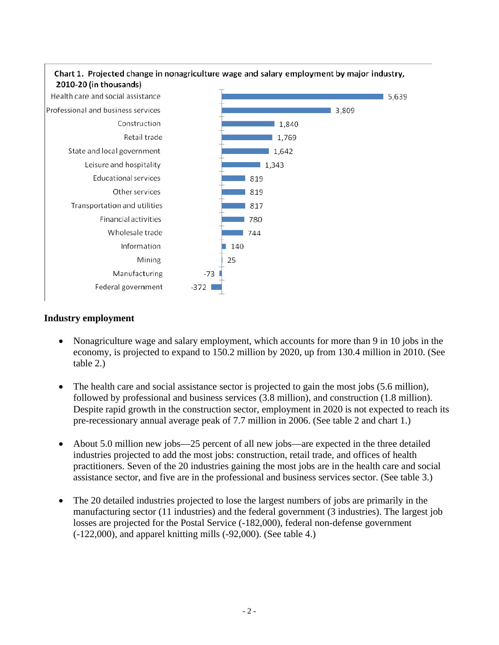

#### **Industry employment**

- Nonagriculture wage and salary employment, which accounts for more than 9 in 10 jobs in the economy, is projected to expand to 150.2 million by 2020, up from 130.4 million in 2010. (See table 2.)
- The health care and social assistance sector is projected to gain the most jobs (5.6 million), followed by professional and business services (3.8 million), and construction (1.8 million). Despite rapid growth in the construction sector, employment in 2020 is not expected to reach its pre-recessionary annual average peak of 7.7 million in 2006. (See table 2 and chart 1.)
- About 5.0 million new jobs—25 percent of all new jobs—are expected in the three detailed industries projected to add the most jobs: construction, retail trade, and offices of health practitioners. Seven of the 20 industries gaining the most jobs are in the health care and social assistance sector, and five are in the professional and business services sector. (See table 3.)
- The 20 detailed industries projected to lose the largest numbers of jobs are primarily in the manufacturing sector (11 industries) and the federal government (3 industries). The largest job losses are projected for the Postal Service (-182,000), federal non-defense government (-122,000), and apparel knitting mills (-92,000). (See table 4.)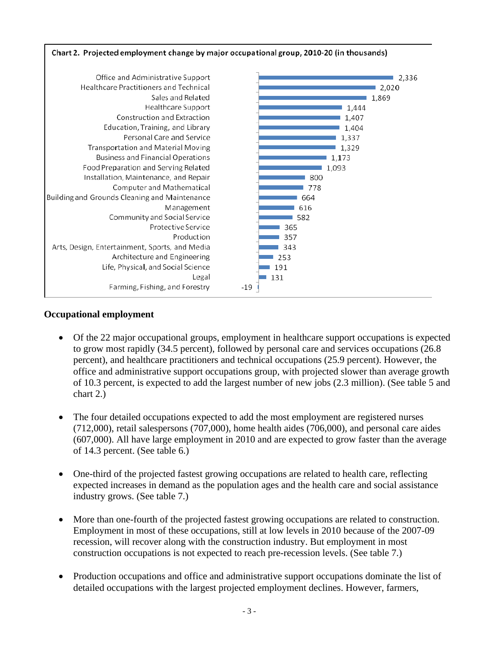

### **Occupational employment**

- Of the 22 major occupational groups, employment in healthcare support occupations is expected to grow most rapidly (34.5 percent), followed by personal care and services occupations (26.8 percent), and healthcare practitioners and technical occupations (25.9 percent). However, the office and administrative support occupations group, with projected slower than average growth of 10.3 percent, is expected to add the largest number of new jobs (2.3 million). (See table 5 and chart 2.)
- The four detailed occupations expected to add the most employment are registered nurses (712,000), retail salespersons (707,000), home health aides (706,000), and personal care aides (607,000). All have large employment in 2010 and are expected to grow faster than the average of 14.3 percent. (See table 6.)
- One-third of the projected fastest growing occupations are related to health care, reflecting expected increases in demand as the population ages and the health care and social assistance industry grows. (See table 7.)
- More than one-fourth of the projected fastest growing occupations are related to construction. Employment in most of these occupations, still at low levels in 2010 because of the 2007-09 recession, will recover along with the construction industry. But employment in most construction occupations is not expected to reach pre-recession levels. (See table 7.)
- Production occupations and office and administrative support occupations dominate the list of detailed occupations with the largest projected employment declines. However, farmers,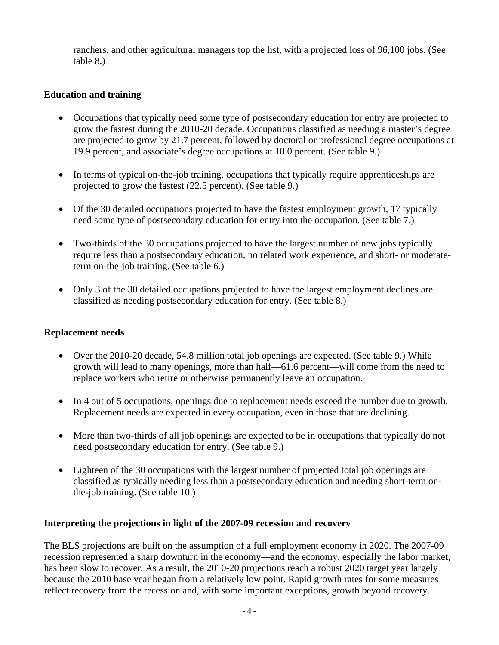ranchers, and other agricultural managers top the list, with a projected loss of 96,100 jobs. (See table 8.)

### **Education and training**

- Occupations that typically need some type of postsecondary education for entry are projected to grow the fastest during the 2010-20 decade. Occupations classified as needing a master's degree are projected to grow by 21.7 percent, followed by doctoral or professional degree occupations at 19.9 percent, and associate's degree occupations at 18.0 percent. (See table 9.)
- In terms of typical on-the-job training, occupations that typically require apprenticeships are projected to grow the fastest (22.5 percent). (See table 9.)
- Of the 30 detailed occupations projected to have the fastest employment growth, 17 typically need some type of postsecondary education for entry into the occupation. (See table 7.)
- Two-thirds of the 30 occupations projected to have the largest number of new jobs typically require less than a postsecondary education, no related work experience, and short- or moderateterm on-the-job training. (See table 6.)
- Only 3 of the 30 detailed occupations projected to have the largest employment declines are classified as needing postsecondary education for entry. (See table 8.)

### **Replacement needs**

- Over the 2010-20 decade, 54.8 million total job openings are expected. (See table 9.) While growth will lead to many openings, more than half—61.6 percent—will come from the need to replace workers who retire or otherwise permanently leave an occupation.
- In 4 out of 5 occupations, openings due to replacement needs exceed the number due to growth. Replacement needs are expected in every occupation, even in those that are declining.
- More than two-thirds of all job openings are expected to be in occupations that typically do not need postsecondary education for entry. (See table 9.)
- Eighteen of the 30 occupations with the largest number of projected total job openings are classified as typically needing less than a postsecondary education and needing short-term onthe-job training. (See table 10.)

### **Interpreting the projections in light of the 2007-09 recession and recovery**

The BLS projections are built on the assumption of a full employment economy in 2020. The 2007-09 recession represented a sharp downturn in the economy—and the economy, especially the labor market, has been slow to recover. As a result, the 2010-20 projections reach a robust 2020 target year largely because the 2010 base year began from a relatively low point. Rapid growth rates for some measures reflect recovery from the recession and, with some important exceptions, growth beyond recovery.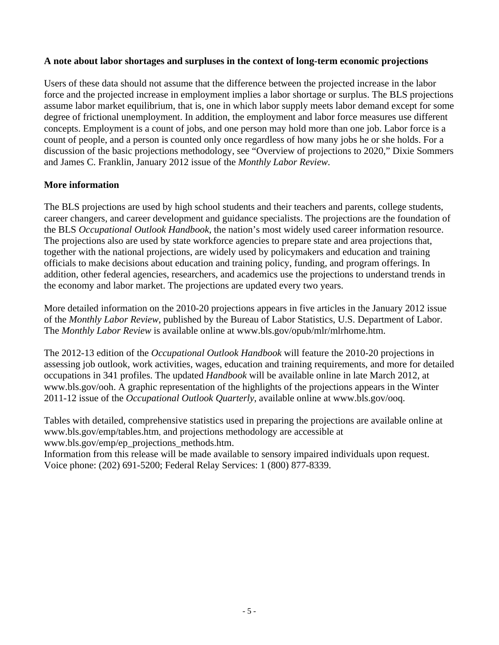#### **A note about labor shortages and surpluses in the context of long-term economic projections**

Users of these data should not assume that the difference between the projected increase in the labor force and the projected increase in employment implies a labor shortage or surplus. The BLS projections assume labor market equilibrium, that is, one in which labor supply meets labor demand except for some degree of frictional unemployment. In addition, the employment and labor force measures use different concepts. Employment is a count of jobs, and one person may hold more than one job. Labor force is a count of people, and a person is counted only once regardless of how many jobs he or she holds. For a discussion of the basic projections methodology, see "Overview of projections to 2020," Dixie Sommers and James C. Franklin, January 2012 issue of the *Monthly Labor Review*.

### **More information**

The BLS projections are used by high school students and their teachers and parents, college students, career changers, and career development and guidance specialists. The projections are the foundation of the BLS *Occupational Outlook Handbook*, the nation's most widely used career information resource. The projections also are used by state workforce agencies to prepare state and area projections that, together with the national projections, are widely used by policymakers and education and training officials to make decisions about education and training policy, funding, and program offerings. In addition, other federal agencies, researchers, and academics use the projections to understand trends in the economy and labor market. The projections are updated every two years.

More detailed information on the 2010-20 projections appears in five articles in the January 2012 issue of the *Monthly Labor Review*, published by the Bureau of Labor Statistics, U.S. Department of Labor. The *Monthly Labor Review* is available online at www.bls.gov/opub/mlr/mlrhome.htm.

The 2012-13 edition of the *Occupational Outlook Handbook* will feature the 2010-20 projections in assessing job outlook, work activities, wages, education and training requirements, and more for detailed occupations in 341 profiles. The updated *Handbook* will be available online in late March 2012, at www.bls.gov/ooh. A graphic representation of the highlights of the projections appears in the Winter 2011-12 issue of the *Occupational Outlook Quarterly*, available online at www.bls.gov/ooq.

Tables with detailed, comprehensive statistics used in preparing the projections are available online at www.bls.gov/emp/tables.htm, and projections methodology are accessible at www.bls.gov/emp/ep\_projections\_methods.htm.

Information from this release will be made available to sensory impaired individuals upon request. Voice phone: (202) 691-5200; Federal Relay Services: 1 (800) 877-8339.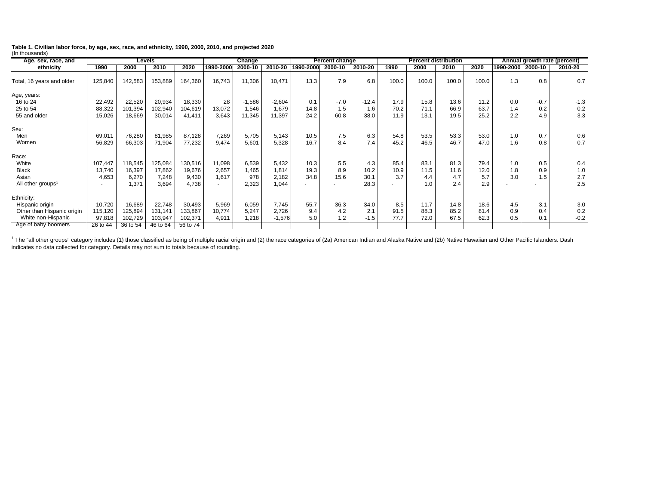| Table 1. Civilian labor force, by age, sex, race, and ethnicity, 1990, 2000, 2010, and projected 2020 |  |  |
|-------------------------------------------------------------------------------------------------------|--|--|
| (In thousands)                                                                                        |  |  |

| Age, sex, race, and                                                                                      |                                         | <b>Levels</b>                            |                                          |                                          |                          | Change                         |                                  |                      | Percent change        |                             |                      |                            | <b>Percent distribution</b> |                            |                   |                      | Annual growth rate (percent) |
|----------------------------------------------------------------------------------------------------------|-----------------------------------------|------------------------------------------|------------------------------------------|------------------------------------------|--------------------------|--------------------------------|----------------------------------|----------------------|-----------------------|-----------------------------|----------------------|----------------------------|-----------------------------|----------------------------|-------------------|----------------------|------------------------------|
| ethnicity                                                                                                | 1990                                    | 2000                                     | 2010                                     | 2020                                     | 1990-2000                | 2000-10                        | 2010-20                          | 1990-2000            | 2000-10               | 2010-20                     | 1990                 | 2000                       | 2010                        | 2020                       | 1990-2000         | 2000-10              | 2010-20                      |
| Total, 16 years and older                                                                                | 125,840                                 | 142,583                                  | 153,889                                  | 164,360                                  | 16,743                   | 11,306                         | 10,471                           | 13.3                 | 7.9                   | 6.8                         | 100.0                | 100.0                      | 100.0                       | 100.0                      | 1.3               | 0.8                  | 0.7                          |
| Age, years:<br>16 to 24<br>25 to 54<br>55 and older                                                      | 22,492<br>88,322<br>15,026              | 22,520<br>101,394<br>18,669              | 20,934<br>102,940<br>30,014              | 18,330<br>104,619<br>41,411              | 28<br>13,072<br>3,643    | $-1,586$<br>1,546<br>11,345    | $-2,604$<br>1,679<br>11,397      | 0.1<br>14.8<br>24.2  | $-7.0$<br>1.5<br>60.8 | $-12.4$<br>1.6<br>38.0      | 17.9<br>70.2<br>11.9 | 15.8<br>71.1<br>13.1       | 13.6<br>66.9<br>19.5        | 11.2<br>63.7<br>25.2       | 0.0<br>1.4<br>2.2 | $-0.7$<br>0.2<br>4.9 | $-1.3$<br>0.2<br>3.3         |
| Sex:<br>Men<br>Women                                                                                     | 69,011<br>56,829                        | 76,280<br>66,303                         | 81,985<br>71,904                         | 87,128<br>77,232                         | 7,269<br>9,474           | 5,705<br>5,601                 | 5,143<br>5,328                   | 10.5<br>16.7         | 7.5<br>8.4            | 6.3<br>7.4                  | 54.8<br>45.2         | 53.5<br>46.5               | 53.3<br>46.7                | 53.0<br>47.0               | 1.0<br>1.6        | 0.7<br>0.8           | 0.6<br>0.7                   |
| Race:<br>White<br><b>Black</b><br>Asian<br>All other groups <sup>1</sup>                                 | 107,447<br>13,740<br>4,653              | 118,545<br>16,397<br>6,270<br>1,371      | 125,084<br>17,862<br>7,248<br>3,694      | 130,516<br>19,676<br>9,430<br>4,738      | 11,098<br>2,657<br>1.617 | 6,539<br>1,465<br>978<br>2,323 | 5,432<br>1,814<br>2,182<br>1,044 | 10.3<br>19.3<br>34.8 | 5.5<br>8.9<br>15.6    | 4.3<br>10.2<br>30.1<br>28.3 | 85.4<br>10.9<br>3.7  | 83.1<br>11.5<br>4.4<br>1.0 | 81.3<br>11.6<br>4.7<br>2.4  | 79.4<br>12.0<br>5.7<br>2.9 | 1.0<br>1.8<br>3.0 | 0.5<br>0.9<br>1.5    | 0.4<br>1.0<br>2.7<br>2.5     |
| Ethnicity:<br>Hispanic origin<br>Other than Hispanic origin<br>White non-Hispanic<br>Age of baby boomers | 10,720<br>115,120<br>97,818<br>26 to 44 | 16,689<br>125,894<br>102,729<br>36 to 54 | 22,748<br>131,141<br>103,947<br>46 to 64 | 30,493<br>133,867<br>102,371<br>56 to 74 | 5,969<br>10,774<br>4.911 | 6,059<br>5,247<br>1.218        | 7,745<br>2,726<br>$-1,576$       | 55.7<br>9.4<br>5.0   | 36.3<br>4.2<br>1.2    | 34.0<br>2.1<br>$-1.5$       | 8.5<br>91.5<br>77.7  | 11.7<br>88.3<br>72.0       | 14.8<br>85.2<br>67.5        | 18.6<br>81.4<br>62.3       | 4.5<br>0.9<br>0.5 | 3.1<br>0.4<br>0.1    | 3.0<br>0.2<br>$-0.2$         |

<sup>1</sup> The "all other groups" category includes (1) those classified as being of multiple racial origin and (2) the race categories of (2a) American Indian and Alaska Native and (2b) Native Hawaiian and Other Pacific Islander indicates no data collected for category. Details may not sum to totals because of rounding.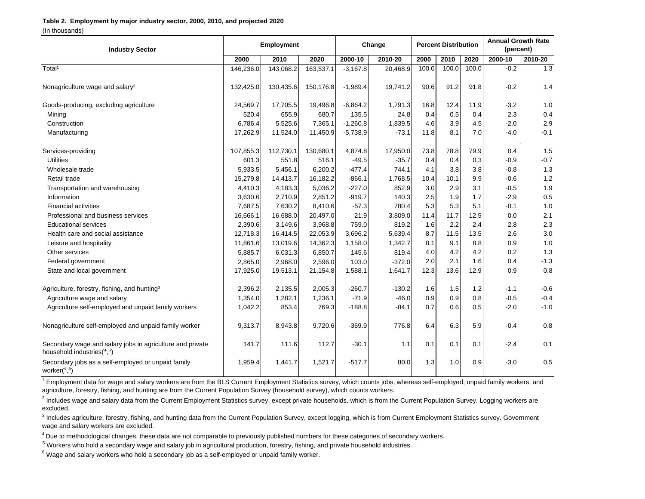#### **Table 2. Employment by major industry sector, 2000, 2010, and projected 2020**

(In thousands)

| <b>Industry Sector</b>                                                                     |           | <b>Employment</b> |           |            | Change   |       | <b>Percent Distribution</b> |       | <b>Annual Growth Rate</b><br>(percent) |         |  |
|--------------------------------------------------------------------------------------------|-----------|-------------------|-----------|------------|----------|-------|-----------------------------|-------|----------------------------------------|---------|--|
|                                                                                            | 2000      | 2010              | 2020      | 2000-10    | 2010-20  | 2000  | 2010                        | 2020  | 2000-10                                | 2010-20 |  |
| Total <sup>1</sup>                                                                         | 146,236.0 | 143,068.2         | 163,537.1 | $-3,167.8$ | 20,468.9 | 100.0 | 100.0                       | 100.0 | $-0.2$                                 | 1.3     |  |
| Nonagriculture wage and salary <sup>2</sup>                                                | 132,425.0 | 130,435.6         | 150,176.8 | $-1,989.4$ | 19,741.2 | 90.6  | 91.2                        | 91.8  | $-0.2$                                 | 1.4     |  |
| Goods-producing, excluding agriculture                                                     | 24,569.7  | 17,705.5          | 19,496.8  | $-6,864.2$ | 1,791.3  | 16.8  | 12.4                        | 11.9  | $-3.2$                                 | 1.0     |  |
| Mining                                                                                     | 520.4     | 655.9             | 680.7     | 135.5      | 24.8     | 0.4   | 0.5                         | 0.4   | 2.3                                    | 0.4     |  |
| Construction                                                                               | 6,786.4   | 5,525.6           | 7,365.1   | $-1,260.8$ | 1,839.5  | 4.6   | 3.9                         | 4.5   | $-2.0$                                 | 2.9     |  |
| Manufacturing                                                                              | 17,262.9  | 11,524.0          | 11,450.9  | $-5,738.9$ | $-73.1$  | 11.8  | 8.1                         | 7.0   | $-4.0$                                 | $-0.1$  |  |
| Services-providing                                                                         | 107,855.3 | 112,730.1         | 130,680.1 | 4,874.8    | 17,950.0 | 73.8  | 78.8                        | 79.9  | 0.4                                    | 1.5     |  |
| <b>Utilities</b>                                                                           | 601.3     | 551.8             | 516.1     | $-49.5$    | $-35.7$  | 0.4   | 0.4                         | 0.3   | $-0.9$                                 | $-0.7$  |  |
| Wholesale trade                                                                            | 5,933.5   | 5,456.1           | 6,200.2   | $-477.4$   | 744.1    | 4.1   | 3.8                         | 3.8   | $-0.8$                                 | 1.3     |  |
| Retail trade                                                                               | 15,279.8  | 14,413.7          | 16,182.2  | $-866.1$   | 1,768.5  | 10.4  | 10.1                        | 9.9   | $-0.6$                                 | 1.2     |  |
| Transportation and warehousing                                                             | 4,410.3   | 4,183.3           | 5,036.2   | $-227.0$   | 852.9    | 3.0   | 2.9                         | 3.1   | $-0.5$                                 | 1.9     |  |
| Information                                                                                | 3,630.6   | 2,710.9           | 2,851.2   | $-919.7$   | 140.3    | 2.5   | 1.9                         | 1.7   | $-2.9$                                 | 0.5     |  |
| <b>Financial activities</b>                                                                | 7,687.5   | 7,630.2           | 8,410.6   | $-57.3$    | 780.4    | 5.3   | 5.3                         | 5.1   | $-0.1$                                 | 1.0     |  |
| Professional and business services                                                         | 16,666.1  | 16,688.0          | 20,497.0  | 21.9       | 3,809.0  | 11.4  | 11.7                        | 12.5  | 0.0                                    | 2.1     |  |
| <b>Educational services</b>                                                                | 2,390.6   | 3,149.6           | 3,968.8   | 759.0      | 819.2    | 1.6   | 2.2                         | 2.4   | 2.8                                    | 2.3     |  |
| Health care and social assistance                                                          | 12,718.3  | 16,414.5          | 22,053.9  | 3,696.2    | 5,639.4  | 8.7   | 11.5                        | 13.5  | 2.6                                    | 3.0     |  |
| Leisure and hospitality                                                                    | 11,861.6  | 13,019.6          | 14,362.3  | 1,158.0    | 1,342.7  | 8.1   | 9.1                         | 8.8   | 0.9                                    | 1.0     |  |
| Other services                                                                             | 5.885.7   | 6,031.3           | 6,850.7   | 145.6      | 819.4    | 4.0   | 4.2                         | 4.2   | 0.2                                    | 1.3     |  |
| Federal government                                                                         | 2,865.0   | 2,968.0           | 2,596.0   | 103.0      | $-372.0$ | 2.0   | 2.1                         | 1.6   | 0.4                                    | $-1.3$  |  |
| State and local government                                                                 | 17,925.0  | 19,513.1          | 21,154.8  | 1,588.1    | 1,641.7  | 12.3  | 13.6                        | 12.9  | 0.9                                    | 0.8     |  |
| Agriculture, forestry, fishing, and hunting <sup>3</sup>                                   | 2,396.2   | 2,135.5           | 2,005.3   | $-260.7$   | $-130.2$ | 1.6   | 1.5                         | 1.2   | $-1.1$                                 | $-0.6$  |  |
| Agriculture wage and salary                                                                | 1,354.0   | 1,282.1           | 1,236.1   | $-71.9$    | $-46.0$  | 0.9   | 0.9                         | 0.8   | $-0.5$                                 | $-0.4$  |  |
| Agriculture self-employed and unpaid family workers                                        | 1,042.2   | 853.4             | 769.3     | $-188.8$   | $-84.1$  | 0.7   | 0.6                         | 0.5   | $-2.0$                                 | $-1.0$  |  |
| Nonagriculture self-employed and unpaid family worker                                      | 9,313.7   | 8,943.8           | 9,720.6   | $-369.9$   | 776.8    | 6.4   | 6.3                         | 5.9   | $-0.4$                                 | 0.8     |  |
| Secondary wage and salary jobs in agriculture and private<br>household industries( $4,5$ ) | 141.7     | 111.6             | 112.7     | $-30.1$    | 1.1      | 0.1   | 0.1                         | 0.1   | $-2.4$                                 | 0.1     |  |
| Secondary jobs as a self-employed or unpaid family<br>worker $(^{4},^6)$                   | 1,959.4   | 1,441.7           | 1,521.7   | $-517.7$   | 80.0     | 1.3   | 1.0                         | 0.9   | $-3.0$                                 | 0.5     |  |

 $1$  Employment data for wage and salary workers are from the BLS Current Employment Statistics survey, which counts jobs, whereas self-employed, unpaid family workers, and agriculture, forestry, fishing, and hunting are from the Current Population Survey (household survey), which counts workers.

<sup>2</sup> Includes wage and salary data from the Current Employment Statistics survey, except private households, which is from the Current Population Survey. Logging workers are excluded.

<sup>3</sup> Includes agriculture, forestry, fishing, and hunting data from the Current Population Survey, except logging, which is from Current Employment Statistics survey. Government wage and salary workers are excluded.

<sup>4</sup> Due to methodological changes, these data are not comparable to previously published numbers for these categories of secondary workers.

 $<sup>5</sup>$  Workers who hold a secondary wage and salary job in agricultural production, forestry, fishing, and private household industries.</sup>

 $6$  Wage and salary workers who hold a secondary job as a self-employed or unpaid family worker.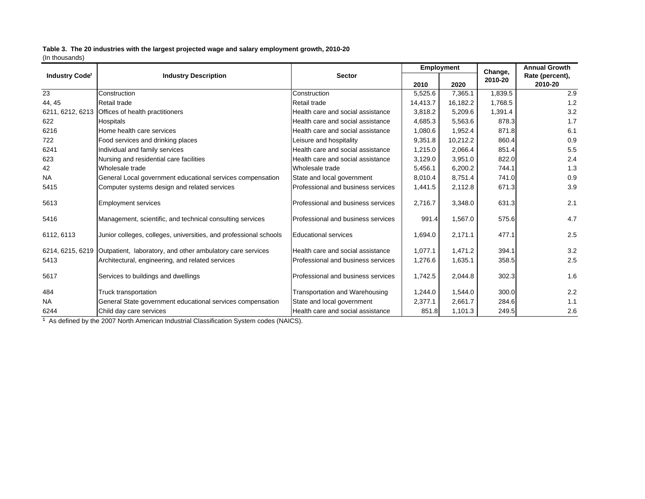# **Table 3. The 20 industries with the largest projected wage and salary employment growth, 2010-20**

(In thousands)

|                                  |                                                                             |                                    |          | <b>Employment</b> | Change, | <b>Annual Growth</b>       |
|----------------------------------|-----------------------------------------------------------------------------|------------------------------------|----------|-------------------|---------|----------------------------|
| <b>Industry Code<sup>1</sup></b> | <b>Industry Description</b>                                                 | <b>Sector</b>                      | 2010     | 2020              | 2010-20 | Rate (percent),<br>2010-20 |
| 23                               | Construction                                                                | Construction                       | 5,525.6  | 7,365.1           | 1,839.5 | 2.9                        |
| 44, 45                           | Retail trade                                                                | Retail trade                       | 14,413.7 | 16,182.2          | 1,768.5 | 1.2                        |
|                                  | 6211, 6212, 6213 Offices of health practitioners                            | Health care and social assistance  | 3,818.2  | 5,209.6           | 1,391.4 | 3.2                        |
| 622                              | <b>Hospitals</b>                                                            | Health care and social assistance  | 4,685.3  | 5,563.6           | 878.3   | 1.7                        |
| 6216                             | Home health care services                                                   | Health care and social assistance  | 1,080.6  | 1,952.4           | 871.8   | 6.1                        |
| 722                              | Food services and drinking places                                           | Leisure and hospitality            | 9,351.8  | 10,212.2          | 860.4   | 0.9                        |
| 6241                             | Individual and family services                                              | Health care and social assistance  | 1,215.0  | 2,066.4           | 851.4   | 5.5                        |
| 623                              | Nursing and residential care facilities                                     | Health care and social assistance  | 3,129.0  | 3,951.0           | 822.0   | 2.4                        |
| 42                               | Wholesale trade                                                             | Wholesale trade                    | 5,456.1  | 6,200.2           | 744.1   | 1.3                        |
| <b>NA</b>                        | General Local government educational services compensation                  | State and local government         | 8,010.4  | 8,751.4           | 741.0   | 0.9                        |
| 5415                             | Computer systems design and related services                                | Professional and business services | 1,441.5  | 2,112.8           | 671.3   | 3.9                        |
| 5613                             | <b>Employment services</b>                                                  | Professional and business services | 2,716.7  | 3,348.0           | 631.3   | 2.1                        |
| 5416                             | Management, scientific, and technical consulting services                   | Professional and business services | 991.4    | 1,567.0           | 575.6   | 4.7                        |
| 6112, 6113                       | Junior colleges, colleges, universities, and professional schools           | <b>Educational services</b>        | 1,694.0  | 2,171.1           | 477.1   | 2.5                        |
|                                  | 6214, 6215, 6219 Outpatient, laboratory, and other ambulatory care services | Health care and social assistance  | 1,077.1  | 1,471.2           | 394.1   | 3.2                        |
| 5413                             | Architectural, engineering, and related services                            | Professional and business services | 1,276.6  | 1,635.1           | 358.5   | 2.5                        |
| 5617                             | Services to buildings and dwellings                                         | Professional and business services | 1,742.5  | 2,044.8           | 302.3   | 1.6                        |
| 484                              | Truck transportation                                                        | Transportation and Warehousing     | 1,244.0  | 1,544.0           | 300.0   | 2.2                        |
| <b>NA</b>                        | General State government educational services compensation                  | State and local government         | 2,377.1  | 2,661.7           | 284.6   | 1.1                        |
| 6244                             | Child day care services                                                     | Health care and social assistance  | 851.8    | 1,101.3           | 249.5   | 2.6                        |

 $1$  As defined by the 2007 North American Industrial Classification System codes (NAICS).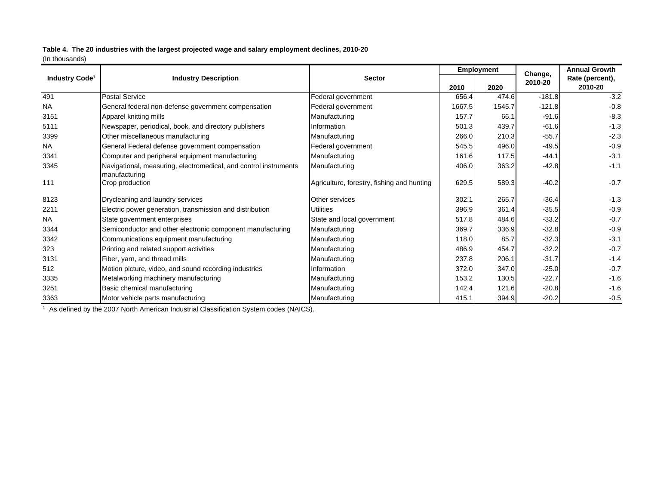## **Table 4. The 20 industries with the largest projected wage and salary employment declines, 2010-20**

(In thousands)

|                                  |                                                                  |                                            |        | <b>Employment</b> | Change,  | <b>Annual Growth</b>       |  |
|----------------------------------|------------------------------------------------------------------|--------------------------------------------|--------|-------------------|----------|----------------------------|--|
| <b>Industry Code<sup>1</sup></b> | <b>Industry Description</b>                                      | <b>Sector</b>                              | 2010   | 2020              | 2010-20  | Rate (percent),<br>2010-20 |  |
| 491                              | <b>Postal Service</b>                                            | Federal government                         | 656.4  | 474.6             | $-181.8$ | $-3.2$                     |  |
| <b>NA</b>                        | General federal non-defense government compensation              | Federal government                         | 1667.5 | 1545.7            | $-121.8$ | $-0.8$                     |  |
| 3151                             | Apparel knitting mills                                           | Manufacturing                              | 157.7  | 66.1              | $-91.6$  | $-8.3$                     |  |
| 5111                             | Newspaper, periodical, book, and directory publishers            | Information                                | 501.3  | 439.7             | $-61.6$  | $-1.3$                     |  |
| 3399                             | Other miscellaneous manufacturing                                | Manufacturing                              | 266.0  | 210.3             | $-55.7$  | $-2.3$                     |  |
| <b>NA</b>                        | General Federal defense government compensation                  | Federal government                         | 545.5  | 496.0             | $-49.5$  | $-0.9$                     |  |
| 3341                             | Computer and peripheral equipment manufacturing                  | Manufacturing                              | 161.6  | 117.5             | $-44.1$  | $-3.1$                     |  |
| 3345                             | Navigational, measuring, electromedical, and control instruments | Manufacturing                              | 406.0  | 363.2             | $-42.8$  | $-1.1$                     |  |
| 111                              | manufacturing<br>Crop production                                 | Agriculture, forestry, fishing and hunting | 629.5  | 589.3             | $-40.2$  | $-0.7$                     |  |
| 8123                             | Drycleaning and laundry services                                 | Other services                             | 302.1  | 265.7             | $-36.4$  | $-1.3$                     |  |
| 2211                             | Electric power generation, transmission and distribution         | <b>Utilities</b>                           | 396.9  | 361.4             | $-35.5$  | $-0.9$                     |  |
| <b>NA</b>                        | State government enterprises                                     | State and local government                 | 517.8  | 484.6             | $-33.2$  | $-0.7$                     |  |
| 3344                             | Semiconductor and other electronic component manufacturing       | Manufacturing                              | 369.7  | 336.9             | $-32.8$  | $-0.9$                     |  |
| 3342                             | Communications equipment manufacturing                           | Manufacturing                              | 118.0  | 85.7              | $-32.3$  | $-3.1$                     |  |
| 323                              | Printing and related support activities                          | Manufacturing                              | 486.9  | 454.7             | $-32.2$  | $-0.7$                     |  |
| 3131                             | Fiber, yarn, and thread mills                                    | Manufacturing                              | 237.8  | 206.1             | $-31.7$  | $-1.4$                     |  |
| 512                              | Motion picture, video, and sound recording industries            | Information                                | 372.0  | 347.0             | $-25.0$  | $-0.7$                     |  |
| 3335                             | Metalworking machinery manufacturing                             | Manufacturing                              | 153.2  | 130.5             | $-22.7$  | $-1.6$                     |  |
| 3251                             | Basic chemical manufacturing                                     | Manufacturing                              | 142.4  | 121.6             | $-20.8$  | $-1.6$                     |  |
| 3363                             | Motor vehicle parts manufacturing                                | Manufacturing                              | 415.1  | 394.9             | $-20.2$  | $-0.5$                     |  |

<sup>1</sup> As defined by the 2007 North American Industrial Classification System codes (NAICS).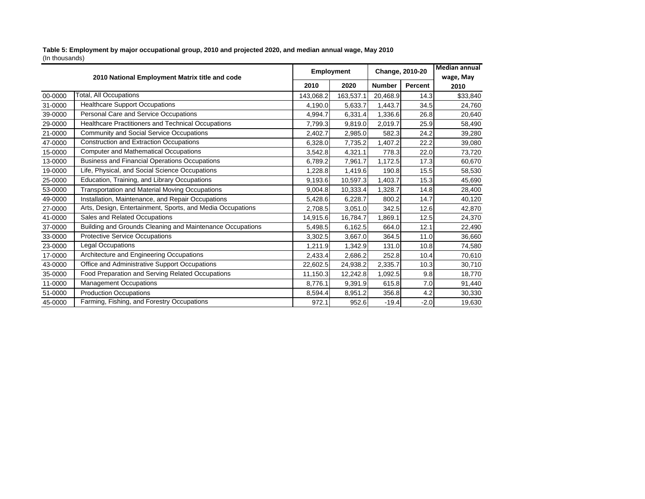| Table 5: Employment by major occupational group, 2010 and projected 2020, and median annual wage, May 2010 |  |
|------------------------------------------------------------------------------------------------------------|--|
| (In thousands)                                                                                             |  |

|         | 2010 National Employment Matrix title and code             |           | <b>Employment</b> |               | Change, 2010-20 | <b>Median annual</b><br>wage, May |
|---------|------------------------------------------------------------|-----------|-------------------|---------------|-----------------|-----------------------------------|
|         |                                                            | 2010      | 2020              | <b>Number</b> | Percent         | 2010                              |
| 00-0000 | Total, All Occupations                                     | 143,068.2 | 163,537.1         | 20,468.9      | 14.3            | \$33,840                          |
| 31-0000 | <b>Healthcare Support Occupations</b>                      | 4.190.0   | 5,633.7           | 1,443.7       | 34.5            | 24,760                            |
| 39-0000 | Personal Care and Service Occupations                      | 4,994.7   | 6,331.4           | 1,336.6       | 26.8            | 20,640                            |
| 29-0000 | <b>Healthcare Practitioners and Technical Occupations</b>  | 7,799.3   | 9,819.0           | 2,019.7       | 25.9            | 58,490                            |
| 21-0000 | <b>Community and Social Service Occupations</b>            | 2,402.7   | 2,985.0           | 582.3         | 24.2            | 39,280                            |
| 47-0000 | <b>Construction and Extraction Occupations</b>             | 6,328.0   | 7,735.2           | 1,407.2       | 22.2            | 39,080                            |
| 15-0000 | <b>Computer and Mathematical Occupations</b>               | 3,542.8   | 4,321.1           | 778.3         | 22.0            | 73,720                            |
| 13-0000 | <b>Business and Financial Operations Occupations</b>       | 6,789.2   | 7,961.7           | 1,172.5       | 17.3            | 60,670                            |
| 19-0000 | Life, Physical, and Social Science Occupations             | 1,228.8   | 1,419.6           | 190.8         | 15.5            | 58,530                            |
| 25-0000 | Education, Training, and Library Occupations               | 9,193.6   | 10,597.3          | 1,403.7       | 15.3            | 45,690                            |
| 53-0000 | Transportation and Material Moving Occupations             | 9,004.8   | 10,333.4          | 1,328.7       | 14.8            | 28,400                            |
| 49-0000 | Installation, Maintenance, and Repair Occupations          | 5,428.6   | 6,228.7           | 800.2         | 14.7            | 40,120                            |
| 27-0000 | Arts, Design, Entertainment, Sports, and Media Occupations | 2,708.5   | 3,051.0           | 342.5         | 12.6            | 42,870                            |
| 41-0000 | Sales and Related Occupations                              | 14,915.6  | 16,784.7          | 1,869.1       | 12.5            | 24,370                            |
| 37-0000 | Building and Grounds Cleaning and Maintenance Occupations  | 5,498.5   | 6,162.5           | 664.0         | 12.1            | 22,490                            |
| 33-0000 | <b>Protective Service Occupations</b>                      | 3,302.5   | 3,667.0           | 364.5         | 11.0            | 36,660                            |
| 23-0000 | <b>Legal Occupations</b>                                   | 1,211.9   | 1,342.9           | 131.0         | 10.8            | 74,580                            |
| 17-0000 | Architecture and Engineering Occupations                   | 2,433.4   | 2,686.2           | 252.8         | 10.4            | 70,610                            |
| 43-0000 | Office and Administrative Support Occupations              | 22,602.5  | 24,938.2          | 2,335.7       | 10.3            | 30,710                            |
| 35-0000 | Food Preparation and Serving Related Occupations           | 11,150.3  | 12,242.8          | 1,092.5       | 9.8             | 18,770                            |
| 11-0000 | <b>Management Occupations</b>                              | 8,776.1   | 9,391.9           | 615.8         | 7.0             | 91,440                            |
| 51-0000 | <b>Production Occupations</b>                              | 8,594.4   | 8,951.2           | 356.8         | 4.2             | 30,330                            |
| 45-0000 | Farming, Fishing, and Forestry Occupations                 | 972.1     | 952.6             | $-19.4$       | $-2.0$          | 19,630                            |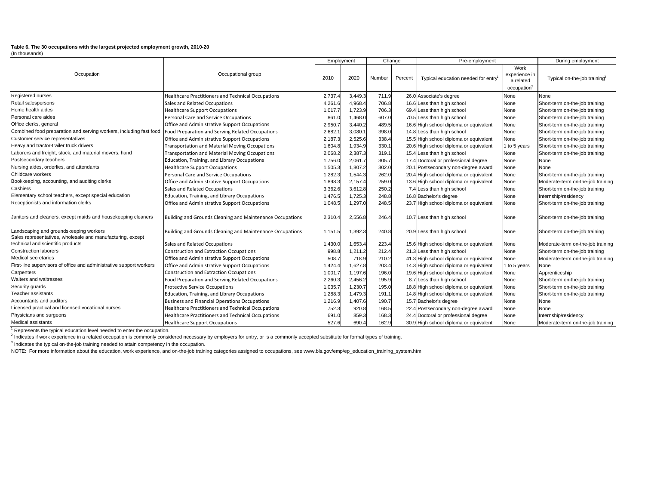#### (In thousands) **Table 6. The 30 occupations with the largest projected employment growth, 2010-20**

|                                                                                                      | Change<br>Employment<br>Pre-employment                    |         |         | During employment |         |                                        |                                                               |                                          |
|------------------------------------------------------------------------------------------------------|-----------------------------------------------------------|---------|---------|-------------------|---------|----------------------------------------|---------------------------------------------------------------|------------------------------------------|
| Occupation                                                                                           | Occupational group                                        | 2010    | 2020    | Number            | Percent | Typical education needed for entry     | Work<br>experience in<br>a related<br>occupation <sup>2</sup> | Typical on-the-job training <sup>3</sup> |
| Registered nurses                                                                                    | Healthcare Practitioners and Technical Occupations        | 2,737.4 | 3,449.3 | 711.9             |         | 26.0 Associate's degree                | None                                                          | None                                     |
| Retail salespersons                                                                                  | Sales and Related Occupations                             | 4,261.6 | 4,968.4 | 706.8             |         | 16.6 Less than high school             | None                                                          | Short-term on-the-job training           |
| Home health aides                                                                                    | <b>Healthcare Support Occupations</b>                     | 1.017.7 | 1,723.9 | 706.3             |         | 69.4 Less than high school             | None                                                          | Short-term on-the-job training           |
| Personal care aides                                                                                  | Personal Care and Service Occupations                     | 861.0   | 1,468.0 | 607.0             |         | 70.5 Less than high school             | None                                                          | Short-term on-the-job training           |
| Office clerks, general                                                                               | Office and Administrative Support Occupations             | 2,950.7 | 3,440.2 | 489.5             |         | 16.6 High school diploma or equivalent | None                                                          | Short-term on-the-job training           |
| Combined food preparation and serving workers, including fast food                                   | Food Preparation and Serving Related Occupations          | 2,682.1 | 3,080.1 | 398.0             |         | 14.8 Less than high school             | None                                                          | Short-term on-the-job training           |
| Customer service representatives                                                                     | Office and Administrative Support Occupations             | 2,187.3 | 2.525.6 | 338.4             |         | 15.5 High school diploma or equivalent | None                                                          | Short-term on-the-job training           |
| Heavy and tractor-trailer truck drivers                                                              | Transportation and Material Moving Occupations            | 1,604.8 | 1,934.9 | 330.1             |         | 20.6 High school diploma or equivalent | 1 to 5 years                                                  | Short-term on-the-job training           |
| Laborers and freight, stock, and material movers, hand                                               | Transportation and Material Moving Occupations            | 2,068.2 | 2,387.3 | 319.1             |         | 15.4 Less than high school             | None                                                          | Short-term on-the-job training           |
| Postsecondary teachers                                                                               | Education, Training, and Library Occupations              | 1,756.0 | 2,061.7 | 305.7             |         | 17.4 Doctoral or professional degree   | None                                                          | None                                     |
| Nursing aides, orderlies, and attendants                                                             | <b>Healthcare Support Occupations</b>                     | 1,505.3 | 1,807.2 | 302.0             |         | 20.1 Postsecondary non-degree award    | None                                                          | None                                     |
| Childcare workers                                                                                    | Personal Care and Service Occupations                     | 1,282.3 | 1,544.3 | 262.0             |         | 20.4 High school diploma or equivalent | None                                                          | Short-term on-the-job training           |
| Bookkeeping, accounting, and auditing clerks                                                         | Office and Administrative Support Occupations             | 1,898.3 | 2.157.4 | 259.0             |         | 13.6 High school diploma or equivalent | None                                                          | Moderate-term on-the-job training        |
| Cashiers                                                                                             | Sales and Related Occupations                             | 3,362.6 | 3,612.8 | 250.2             |         | 7.4 Less than high school              | None                                                          | Short-term on-the-job training           |
| Elementary school teachers, except special education                                                 | Education, Training, and Library Occupations              | 1,476.5 | 1,725.3 | 248.8             |         | 16.8 Bachelor's degree                 | None                                                          | Internship/residency                     |
| Receptionists and information clerks                                                                 | Office and Administrative Support Occupations             | 1,048.5 | 1,297.0 | 248.5             |         | 23.7 High school diploma or equivalent | None                                                          | Short-term on-the-job training           |
| Janitors and cleaners, except maids and housekeeping cleaners                                        | Building and Grounds Cleaning and Maintenance Occupations | 2,310.4 | 2,556.8 | 246.4             |         | 10.7 Less than high school             | None                                                          | Short-term on-the-job training           |
| Landscaping and groundskeeping workers<br>Sales representatives, wholesale and manufacturing, except | Building and Grounds Cleaning and Maintenance Occupations | 1,151.5 | 1,392.3 | 240.8             |         | 20.9 Less than high school             | None                                                          | Short-term on-the-job training           |
| technical and scientific products                                                                    | Sales and Related Occupations                             | 1.430.0 | 1.653.4 | 223.4             |         | 15.6 High school diploma or equivalent | None                                                          | Moderate-term on-the-job training        |
| <b>Construction laborers</b>                                                                         | Construction and Extraction Occupations                   | 998.8   | 1,211.2 | 212.4             |         | 21.3 Less than high school             | None                                                          | Short-term on-the-job training           |
| Medical secretaries                                                                                  | Office and Administrative Support Occupations             | 508.7   | 718.9   | 210.2             |         | 41.3 High school diploma or equivalent | None                                                          | Moderate-term on-the-job training        |
| First-line supervisors of office and administrative support workers                                  | Office and Administrative Support Occupations             | 1,424.4 | 1,627.8 | 203.4             |         | 14.3 High school diploma or equivalent | 1 to 5 years                                                  | None                                     |
| Carpenters                                                                                           | Construction and Extraction Occupations                   | 1.001.7 | 1.197.6 | 196.0             |         | 19.6 High school diploma or equivalent | None                                                          | Apprenticeship                           |
| Waiters and waitresses                                                                               | Food Preparation and Serving Related Occupations          | 2.260.3 | 2,456.2 | 195.9             |         | 8.7 Less than high school              | None                                                          | Short-term on-the-job training           |
| Security guards                                                                                      | Protective Service Occupations                            | 1,035.7 | 1,230.7 | 195.0             |         | 18.8 High school diploma or equivalent | None                                                          | Short-term on-the-job training           |
| Teacher assistants                                                                                   | Education, Training, and Library Occupations              | 1,288.3 | 1,479.3 | 191.1             |         | 14.8 High school diploma or equivalent | None                                                          | Short-term on-the-job training           |
| Accountants and auditors                                                                             | <b>Business and Financial Operations Occupations</b>      | 1,216.9 | 1,407.6 | 190.7             |         | 15.7 Bachelor's degree                 | None                                                          | None                                     |
| Licensed practical and licensed vocational nurses                                                    | Healthcare Practitioners and Technical Occupations        | 752.3   | 920.8   | 168.5             |         | 22.4 Postsecondary non-degree award    | None                                                          | None                                     |
| Physicians and surgeons                                                                              | <b>Healthcare Practitioners and Technical Occupations</b> | 691.0   | 859.3   | 168.3             |         | 24.4 Doctoral or professional degree   | None                                                          | Internship/residency                     |
| Medical assistants                                                                                   | <b>Healthcare Support Occupations</b>                     | 527.6   | 690.4   | 162.9             |         | 30.9 High school diploma or equivalent | None                                                          | Moderate-term on-the-job training        |

<sup>1</sup> Represents the typical education level needed to enter the occupation.

2 Indicates if work experience in a related occupation is commonly considered necessary by employers for entry, or is a commonly accepted substitute for formal types of training.

<sup>3</sup> Indicates the typical on-the-job training needed to attain competency in the occupation.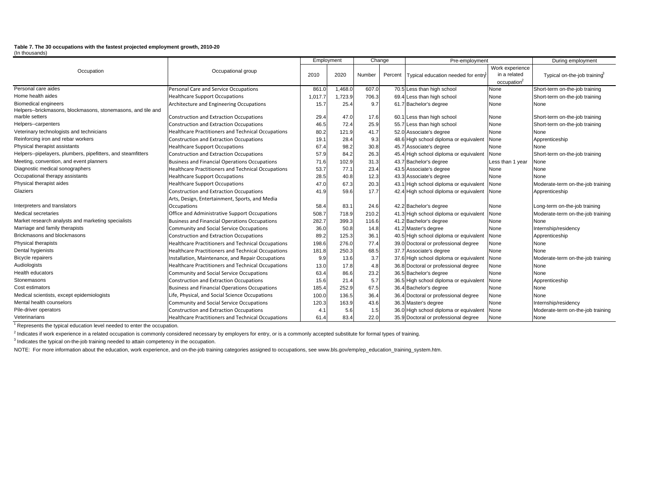## **Table 7. The 30 occupations with the fastest projected employment growth, 2010-20**<br>(In thousands)

|                                                                                             |                                                           | Employment |         | Change |         | Pre-employment                         |                         | During employment                        |
|---------------------------------------------------------------------------------------------|-----------------------------------------------------------|------------|---------|--------|---------|----------------------------------------|-------------------------|------------------------------------------|
| Occupation                                                                                  | Occupational group                                        |            |         |        |         |                                        | Work experience         |                                          |
|                                                                                             |                                                           | 2010       | 2020    | Number | Percent | Typical education needed for entry     | in a related            | Typical on-the-job training <sup>3</sup> |
|                                                                                             |                                                           |            |         |        |         |                                        | occupation <sup>2</sup> |                                          |
| Personal care aides                                                                         | Personal Care and Service Occupations                     | 861.0      | 1,468.0 | 607.0  |         | 70.5 Less than high school             | None                    | Short-term on-the-job training           |
| Home health aides                                                                           | <b>Healthcare Support Occupations</b>                     | 1,017.7    | 1,723.9 | 706.3  |         | 69.4 Less than high school             | None                    | Short-term on-the-job training           |
| <b>Biomedical engineers</b><br>Helpers--brickmasons, blockmasons, stonemasons, and tile and | Architecture and Engineering Occupations                  | 15.7       | 25.4    | 9.7    |         | 61.7 Bachelor's degree                 | None                    | None                                     |
| marble setters                                                                              | <b>Construction and Extraction Occupations</b>            | 29.4       | 47.0    | 17.6   |         | 60.1 Less than high school             | None                    | Short-term on-the-job training           |
| Helpers--carpenters                                                                         | <b>Construction and Extraction Occupations</b>            | 46.5       | 72.4    | 25.9   |         | 55.7 Less than high school             | None                    | Short-term on-the-job training           |
| Veterinary technologists and technicians                                                    | <b>Healthcare Practitioners and Technical Occupations</b> | 80.2       | 121.9   | 41.7   |         | 52.0 Associate's degree                | None                    | None                                     |
| Reinforcing iron and rebar workers                                                          | <b>Construction and Extraction Occupations</b>            | 19.1       | 28.4    | 9.3    |         | 48.6 High school diploma or equivalent |                         |                                          |
| Physical therapist assistants                                                               |                                                           |            |         |        |         |                                        | None                    | Apprenticeship                           |
| Helpers--pipelayers, plumbers, pipefitters, and steamfitters                                | <b>Healthcare Support Occupations</b>                     | 67.4       | 98.2    | 30.8   |         | 45.7 Associate's degree                | None                    | None                                     |
|                                                                                             | <b>Construction and Extraction Occupations</b>            | 57.9       | 84.2    | 26.3   |         | 45.4 High school diploma or equivalent | None                    | Short-term on-the-job training           |
| Meeting, convention, and event planners                                                     | <b>Business and Financial Operations Occupations</b>      | 71.6       | 102.9   | 31.3   |         | 43.7 Bachelor's degree                 | Less than 1 year        | None                                     |
| Diagnostic medical sonographers                                                             | Healthcare Practitioners and Technical Occupations        | 53.7       | 77.1    | 23.4   |         | 43.5 Associate's degree                | None                    | None                                     |
| Occupational therapy assistants                                                             | <b>Healthcare Support Occupations</b>                     | 28.5       | 40.8    | 12.3   |         | 43.3 Associate's degree                | None                    | None                                     |
| Physical therapist aides                                                                    | <b>Healthcare Support Occupations</b>                     | 47.0       | 67.3    | 20.3   |         | 43.1 High school diploma or equivalent | None                    | Moderate-term on-the-job training        |
| Glaziers                                                                                    | <b>Construction and Extraction Occupations</b>            | 41.9       | 59.6    | 17.7   |         | 42.4 High school diploma or equivalent | None                    | Apprenticeship                           |
|                                                                                             | Arts, Design, Entertainment, Sports, and Media            |            |         |        |         |                                        |                         |                                          |
| Interpreters and translators                                                                | <b>Occupations</b>                                        | 58.4       | 83.1    | 24.6   |         | 42.2 Bachelor's degree                 | None                    | Long-term on-the-job training            |
| Medical secretaries                                                                         | Office and Administrative Support Occupations             | 508.7      | 718.9   | 210.2  |         | 41.3 High school diploma or equivalent | None                    | Moderate-term on-the-job training        |
| Market research analysts and marketing specialists                                          | <b>Business and Financial Operations Occupations</b>      | 282.7      | 399.3   | 116.6  |         | 41.2 Bachelor's degree                 | None                    | None                                     |
| Marriage and family therapists                                                              | <b>Community and Social Service Occupations</b>           | 36.0       | 50.8    | 14.8   |         | 41.2 Master's degree                   | None                    | Internship/residency                     |
| Brickmasons and blockmasons                                                                 | <b>Construction and Extraction Occupations</b>            | 89.2       | 125.3   | 36.1   |         | 40.5 High school diploma or equivalent | None                    | Apprenticeship                           |
| Physical therapists                                                                         | <b>Healthcare Practitioners and Technical Occupations</b> | 198.6      | 276.0   | 77.4   |         | 39.0 Doctoral or professional degree   | None                    | None                                     |
| Dental hygienists                                                                           | <b>Healthcare Practitioners and Technical Occupations</b> | 181.8      | 250.3   | 68.5   |         | 37.7 Associate's degree                | None                    | None                                     |
| <b>Bicycle repairers</b>                                                                    | Installation, Maintenance, and Repair Occupations         | 9.9        | 13.6    | 3.7    |         | 37.6 High school diploma or equivalent | None                    | Moderate-term on-the-job training        |
| Audiologists                                                                                | <b>Healthcare Practitioners and Technical Occupations</b> | 13.0       | 17.8    | 4.8    |         | 36.8 Doctoral or professional degree   | None                    | None                                     |
| Health educators                                                                            | Community and Social Service Occupations                  | 63.4       | 86.6    | 23.2   |         | 36.5 Bachelor's degree                 | None                    | None                                     |
| Stonemasons                                                                                 | <b>Construction and Extraction Occupations</b>            | 15.6       | 21.4    | 5.7    |         | 36.5 High school diploma or equivalent | None                    | Apprenticeship                           |
| Cost estimators                                                                             | <b>Business and Financial Operations Occupations</b>      | 185.4      | 252.9   | 67.5   |         | 36.4 Bachelor's degree                 | None                    | None                                     |
| Medical scientists, except epidemiologists                                                  | Life, Physical, and Social Science Occupations            | 100.0      | 136.5   | 36.4   |         | 36.4 Doctoral or professional degree   | None                    | None                                     |
| Mental health counselors                                                                    | Community and Social Service Occupations                  | 120.3      | 163.9   | 43.6   |         | 36.3 Master's degree                   | None                    | Internship/residency                     |
| Pile-driver operators                                                                       | <b>Construction and Extraction Occupations</b>            | 4.1        | 5.6     | 1.5    |         | 36.0 High school diploma or equivalent | None                    | Moderate-term on-the-job training        |
| Veterinarians                                                                               | <b>Healthcare Practitioners and Technical Occupations</b> | 61.4       | 83.4    | 22.0   |         | 35.9 Doctoral or professional degree   | None                    | None                                     |

1 Represents the typical education level needed to enter the occupation.

<sup>2</sup> Indicates if work experience in a related occupation is commonly considered necessary by employers for entry, or is a commonly accepted substitute for formal types of training.

<sup>3</sup> Indicates the typical on-the-job training needed to attain competency in the occupation.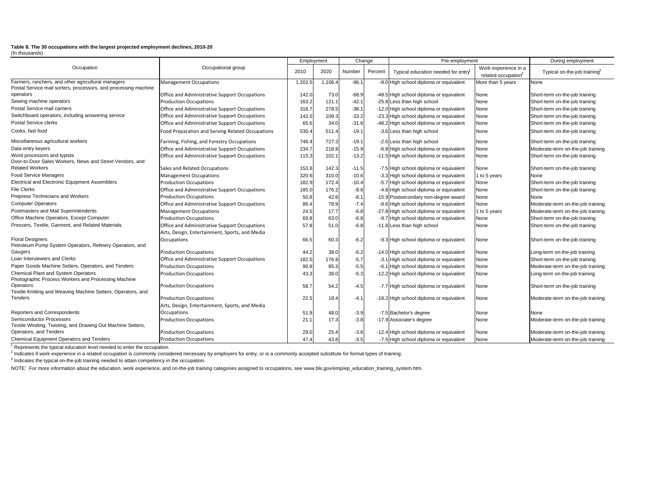#### (In thousands) **Table 8. The 30 occupations with the largest projected employment declines, 2010-20**

|                                                                                                                       |                                                  | Employment |         | Change  |         | Pre-employment                                  |                                                         | During employment                        |
|-----------------------------------------------------------------------------------------------------------------------|--------------------------------------------------|------------|---------|---------|---------|-------------------------------------------------|---------------------------------------------------------|------------------------------------------|
| Occupation                                                                                                            | Occupational group                               | 2010       | 2020    | Number  | Percent | Typical education needed for entry <sup>1</sup> | Work experience in a<br>related occupation <sup>2</sup> | Typical on-the-job training <sup>3</sup> |
| Farmers, ranchers, and other agricultural managers<br>Postal Service mail sorters, processors, and processing machine | <b>Management Occupations</b>                    | 1,202.     | 1,106.4 | $-96.1$ |         | -8.0 High school diploma or equivalent          | More than 5 years                                       | None                                     |
| operators                                                                                                             | Office and Administrative Support Occupations    | 142.0      | 73.0    | $-68.9$ |         | -48.5 High school diploma or equivalent         | None                                                    | Short-term on-the-job training           |
| Sewing machine operators                                                                                              | <b>Production Occupations</b>                    | 163.2      | 121.1   | $-42.1$ |         | -25.8 Less than high school                     | None                                                    | Short-term on-the-job training           |
| Postal Service mail carriers                                                                                          | Office and Administrative Support Occupations    | 316.7      | 278.5   | $-38.1$ |         | -12.0 High school diploma or equivalent         | None                                                    | Short-term on-the-job training           |
| Switchboard operators, including answering service                                                                    | Office and Administrative Support Occupations    | 142.5      | 109.3   | $-33.2$ |         | -23.3 High school diploma or equivalent         | None                                                    | Short-term on-the-job training           |
| Postal Service clerks                                                                                                 | Office and Administrative Support Occupations    | 65.6       | 34.0    | $-31.6$ |         | -48.2 High school diploma or equivalent         | None                                                    | Short-term on-the-job training           |
| Cooks, fast food                                                                                                      | Food Preparation and Serving Related Occupations | 530.4      | 511.4   | $-19.1$ |         | -3.6 Less than high school                      | None                                                    | Short-term on-the-job training           |
| Miscellaneous agricultural workers                                                                                    | Farming, Fishing, and Forestry Occupations       | 746.4      | 727.3   | $-19.1$ |         | -2.6 Less than high school                      | None                                                    | Short-term on-the-job training           |
| Data entry keyers                                                                                                     | Office and Administrative Support Occupations    | 234.7      | 218.8   | $-15.9$ |         | -6.8 High school diploma or equivalent          | None                                                    | Moderate-term on-the-job training        |
| Word processors and typists<br>Door-to-Door Sales Workers, News and Street Vendors, and                               | Office and Administrative Support Occupations    | 115.3      | 102.1   | $-13.2$ |         | -11.5 High school diploma or equivalent         | None                                                    | Short-term on-the-job training           |
| <b>Related Workers</b>                                                                                                | Sales and Related Occupations                    | 153.8      | 142.3   | $-11.5$ |         | -7.5 High school diploma or equivalent          | None                                                    | Short-term on-the-job training           |
| <b>Food Service Managers</b>                                                                                          | <b>Management Occupations</b>                    | 320.6      | 310.0   | $-10.6$ |         | -3.3 High school diploma or equivalent          | I to 5 years                                            | None                                     |
| Electrical and Electronic Equipment Assemblers                                                                        | <b>Production Occupations</b>                    | 182.9      | 172.4   | $-10.4$ |         | -5.7 High school diploma or equivalent          | None                                                    | Short-term on-the-job training           |
| <b>File Clerks</b>                                                                                                    | Office and Administrative Support Occupations    | 185.0      | 176.2   | $-8.8$  |         | -4.8 High school diploma or equivalent          | None                                                    | Short-term on-the-job training           |
| Prepress Technicians and Workers                                                                                      | <b>Production Occupations</b>                    | 50.8       | 42.8    | $-8.1$  |         | -15.9 Postsecondary non-degree award            | None                                                    | None                                     |
| <b>Computer Operators</b>                                                                                             | Office and Administrative Support Occupations    | 86.4       | 78.9    | $-7.4$  |         | -8.6 High school diploma or equivalent          | None                                                    | Moderate-term on-the-job training        |
| Postmasters and Mail Superintendents                                                                                  | <b>Management Occupations</b>                    | 24.5       | 17.7    | $-6.8$  |         | -27.8 High school diploma or equivalent         | 1 to 5 years                                            | Moderate-term on-the-job training        |
| Office Machine Operators, Except Computer                                                                             | <b>Production Occupations</b>                    | 69.8       | 63.0    | $-6.8$  |         | -9.7 High school diploma or equivalent          | None                                                    | Short-term on-the-job training           |
| Pressers, Textile, Garment, and Related Materials                                                                     | Office and Administrative Support Occupations    | 57.8       | 51.0    | $-6.8$  |         | -11.8 Less than high school                     | None                                                    | Short-term on-the-job training           |
|                                                                                                                       | Arts, Design, Entertainment, Sports, and Media   |            |         |         |         |                                                 |                                                         |                                          |
| <b>Floral Designers</b><br>Petroleum Pump System Operators, Refinery Operators, and                                   | Occupations                                      | 66.5       | 60.3    | $-6.2$  |         | -9.3 High school diploma or equivalent          | None                                                    | Short-term on-the-job training           |
| Gaugers                                                                                                               | <b>Production Occupations</b>                    | 44.2       | 38.0    | $-6.2$  |         | -14.0 High school diploma or equivalent         | None                                                    | Long-term on-the-job training            |
| Loan Interviewers and Clerks                                                                                          | Office and Administrative Support Occupations    | 182.5      | 176.8   | $-5.7$  |         | -3.1 High school diploma or equivalent          | None                                                    | Short-term on-the-job training           |
| Paper Goods Machine Setters, Operators, and Tenders                                                                   | <b>Production Occupations</b>                    | 90.9       | 85.3    | $-5.5$  |         | -6.1 High school diploma or equivalent          | None                                                    | Moderate-term on-the-job training        |
| Chemical Plant and System Operators<br>Photographic Process Workers and Processing Machine                            | <b>Production Occupations</b>                    | 43.3       | 38.0    | $-5.3$  |         | -12.2 High school diploma or equivalent         | None                                                    | Long-term on-the-job training            |
| Operators<br>Textile Knitting and Weaving Machine Setters, Operators, and                                             | <b>Production Occupations</b>                    | 58.7       | 54.2    | $-4.5$  |         | -7.7 High school diploma or equivalent          | None                                                    | Short-term on-the-job training           |
| Tenders                                                                                                               | <b>Production Occupations</b>                    | 22.5       | 18.4    | $-4.1$  |         | -18.2 High school diploma or equivalent         | None                                                    | Moderate-term on-the-job training        |
|                                                                                                                       | Arts, Design, Entertainment, Sports, and Media   |            |         |         |         |                                                 |                                                         |                                          |
| Reporters and Correspondents                                                                                          | Occupations                                      | 51.9       | 48.0    | $-3.9$  |         | -7.5 Bachelor's degree                          | None                                                    | None                                     |
| <b>Semiconductor Processors</b><br>Textile Winding, Twisting, and Drawing Out Machine Setters,                        | <b>Production Occupations</b>                    | 21.1       | 17.3    | $-3.8$  |         | -17.9 Associate's degree                        | None                                                    | Moderate-term on-the-job training        |
| Operators, and Tenders                                                                                                | <b>Production Occupations</b>                    | 29.0       | 25.4    | $-3.6$  |         | -12.4 High school diploma or equivalent         | None                                                    | Moderate-term on-the-job training        |
| Chemical Equipment Operators and Tenders                                                                              | <b>Production Occupations</b>                    | 47.4       | 43.8    | $-3.5$  |         | -7.5 High school diploma or equivalent          | None                                                    | Moderate-term on-the-job training        |
|                                                                                                                       |                                                  |            |         |         |         |                                                 |                                                         |                                          |

<sup>1</sup> Represents the typical education level needed to enter the occupation.

<sup>2</sup> Indicates if work experience in a related occupation is commonly considered necessary by employers for entry, or is a commonly accepted substitute for formal types of training.

<sup>3</sup> Indicates the typical on-the-job training needed to attain competency in the occupation.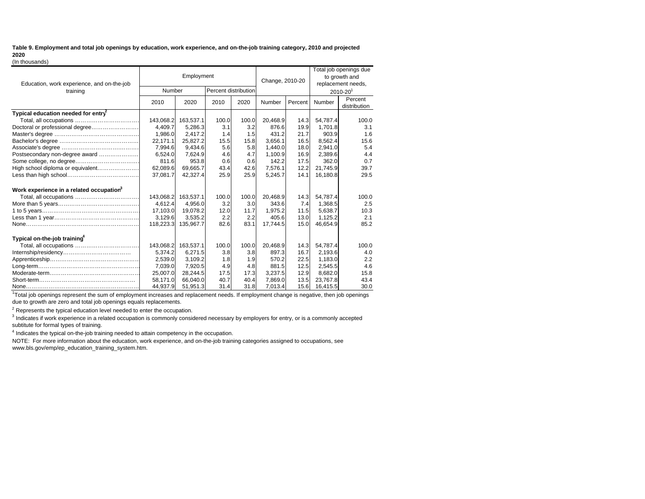**Table 9. Employment and total job openings by education, work experience, and on-the-job training category, 2010 and projected 2020**

(In thousands)

| Education, work experience, and on-the-job           |           | Employment |                      |       | Change, 2010-20 |         | Total job openings due<br>to growth and<br>replacement needs. |                          |
|------------------------------------------------------|-----------|------------|----------------------|-------|-----------------|---------|---------------------------------------------------------------|--------------------------|
| training                                             | Number    |            | Percent distribution |       |                 |         |                                                               | $2010 - 20$ <sup>1</sup> |
|                                                      | 2010      | 2020       | 2010                 | 2020  | Number          | Percent | Number                                                        | Percent<br>distribution  |
| Typical education needed for entry <sup>2</sup>      |           |            |                      |       |                 |         |                                                               |                          |
|                                                      | 143.068.2 | 163,537.1  | 100.0                | 100.0 | 20,468.9        | 14.3    | 54.787.4                                                      | 100.0                    |
| Doctoral or professional degree                      | 4.409.7   | 5.286.3    | 3.1                  | 3.2   | 876.6           | 19.9    | 1,701.8                                                       | 3.1                      |
|                                                      | 1.986.0   | 2,417.2    | 1.4                  | 1.5   | 431.2           | 21.7    | 903.9                                                         | 1.6                      |
|                                                      | 22.171.1  | 25,827.2   | 15.5                 | 15.8  | 3.656.1         | 16.5    | 8.562.4                                                       | 15.6                     |
|                                                      | 7.994.6   | 9.434.6    | 5.6                  | 5.8   | 1.440.0         | 18.0    | 2,941.0                                                       | 5.4                      |
| Postsecondary non-degree award                       | 6,524.0   | 7,624.9    | 4.6                  | 4.7   | 1,100.9         | 16.9    | 2,389.6                                                       | 4.4                      |
|                                                      | 811.6     | 953.8      | 0.6                  | 0.6   | 142.2           | 17.5    | 362.0                                                         | 0.7                      |
| High school diploma or equivalent                    | 62,089.6  | 69,665.7   | 43.4                 | 42.6  | 7,576.1         | 12.2    | 21,745.9                                                      | 39.7                     |
|                                                      | 37.081.7  | 42,327.4   | 25.9                 | 25.9  | 5,245.7         | 14.1    | 16,180.8                                                      | 29.5                     |
| Work experience in a related occupation <sup>3</sup> |           |            |                      |       |                 |         |                                                               |                          |
|                                                      | 143.068.2 | 163,537.1  | 100.0                | 100.0 | 20.468.9        | 14.3    | 54,787.4                                                      | 100.0                    |
|                                                      | 4.612.4   | 4,956.0    | 3.2                  | 3.0   | 343.6           | 7.4     | 1,368.5                                                       | 2.5                      |
|                                                      | 17,103.0  | 19.078.2   | 12.0                 | 11.7  | 1.975.2         | 11.5    | 5.638.7                                                       | 10.3                     |
|                                                      | 3,129.6   | 3,535.2    | 2.2                  | 2.2   | 405.6           | 13.0    | 1,125.2                                                       | 2.1                      |
|                                                      | 118,223.3 | 135,967.7  | 82.6                 | 83.1  | 17.744.5        | 15.0    | 46,654.9                                                      | 85.2                     |
| Typical on-the-job training <sup>4</sup>             |           |            |                      |       |                 |         |                                                               |                          |
|                                                      | 143,068.2 | 163,537.1  | 100.0                | 100.0 | 20,468.9        | 14.3    | 54,787.4                                                      | 100.0                    |
|                                                      | 5.374.2   | 6.271.5    | 3.8                  | 3.8   | 897.3           | 16.7    | 2.193.6                                                       | 4.0                      |
|                                                      | 2,539.0   | 3,109.2    | 1.8                  | 1.9   | 570.2           | 22.5    | 1,183.0                                                       | 2.2                      |
|                                                      | 7,039.0   | 7,920.5    | 4.9                  | 4.8   | 881.5           | 12.5    | 2,545.5                                                       | 4.6                      |
|                                                      | 25,007.0  | 28,244.5   | 17.5                 | 17.3  | 3,237.5         | 12.9    | 8,682.0                                                       | 15.8                     |
|                                                      | 58,171.0  | 66,040.0   | 40.7                 | 40.4  | 7,869.0         | 13.5    | 23,767.8                                                      | 43.4                     |
|                                                      | 44,937.9  | 51,951.3   | 31.4                 | 31.8  | 7,013.4         | 15.6    | 16,415.5                                                      | 30.0                     |

<sup>1</sup>Total job openings represent the sum of employment increases and replacement needs. If employment change is negative, then job openings due to growth are zero and total job openings equals replacements.

2 Represents the typical education level needed to enter the occupation.

<sup>3</sup> Indicates if work experience in a related occupation is commonly considered necessary by employers for entry, or is a commonly accepted subtitute for formal types of training.

4 Indicates the typical on-the-job training needed to attain competency in the occupation.